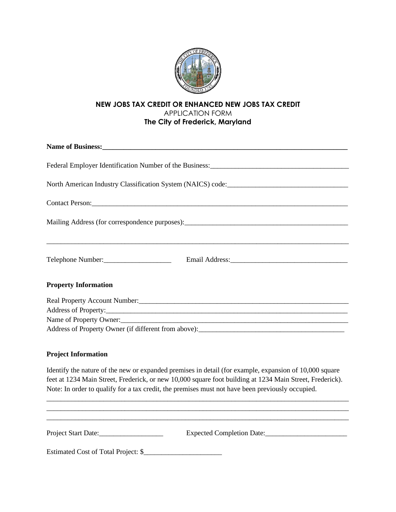

# **NEW JOBS TAX CREDIT OR ENHANCED NEW JOBS TAX CREDIT** APPLICATION FORM **The City of Frederick, Maryland**

| North American Industry Classification System (NAICS) code: _____________________                                                     |                         |  |
|---------------------------------------------------------------------------------------------------------------------------------------|-------------------------|--|
|                                                                                                                                       |                         |  |
|                                                                                                                                       |                         |  |
| Telephone Number:                                                                                                                     |                         |  |
| <b>Property Information</b>                                                                                                           |                         |  |
|                                                                                                                                       |                         |  |
|                                                                                                                                       |                         |  |
|                                                                                                                                       | Name of Property Owner: |  |
| Address of Property Owner (if different from above):<br><u>Letting and the contract of Property Owner (if different from above)</u> : |                         |  |
|                                                                                                                                       |                         |  |

### **Project Information**

Identify the nature of the new or expanded premises in detail (for example, expansion of 10,000 square feet at 1234 Main Street, Frederick, or new 10,000 square foot building at 1234 Main Street, Frederick). Note: In order to qualify for a tax credit, the premises must not have been previously occupied.

| Project Start Date:                 | Expected Completion Date: |
|-------------------------------------|---------------------------|
| Estimated Cost of Total Project: \$ |                           |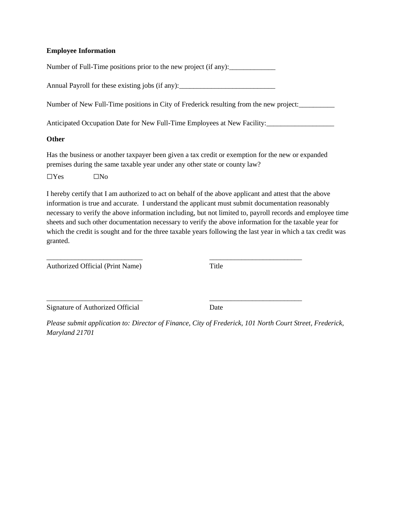#### **Employee Information**

Number of Full-Time positions prior to the new project (if any):

Annual Payroll for these existing jobs (if any):

Number of New Full-Time positions in City of Frederick resulting from the new project:

Anticipated Occupation Date for New Full-Time Employees at New Facility:\_\_\_\_\_\_\_\_\_\_\_\_\_\_\_\_\_\_\_

#### **Other**

Has the business or another taxpayer been given a tax credit or exemption for the new or expanded premises during the same taxable year under any other state or county law?

 $\Box$ Yes  $\Box$ No

I hereby certify that I am authorized to act on behalf of the above applicant and attest that the above information is true and accurate. I understand the applicant must submit documentation reasonably necessary to verify the above information including, but not limited to, payroll records and employee time sheets and such other documentation necessary to verify the above information for the taxable year for which the credit is sought and for the three taxable years following the last year in which a tax credit was granted.

\_\_\_\_\_\_\_\_\_\_\_\_\_\_\_\_\_\_\_\_\_\_\_\_\_\_\_ \_\_\_\_\_\_\_\_\_\_\_\_\_\_\_\_\_\_\_\_\_\_\_\_\_\_

Authorized Official (Print Name) Title

\_\_\_\_\_\_\_\_\_\_\_\_\_\_\_\_\_\_\_\_\_\_\_\_\_\_\_ \_\_\_\_\_\_\_\_\_\_\_\_\_\_\_\_\_\_\_\_\_\_\_\_\_\_ Signature of Authorized Official Date

*Please submit application to: Director of Finance, City of Frederick, 101 North Court Street, Frederick, Maryland 21701*